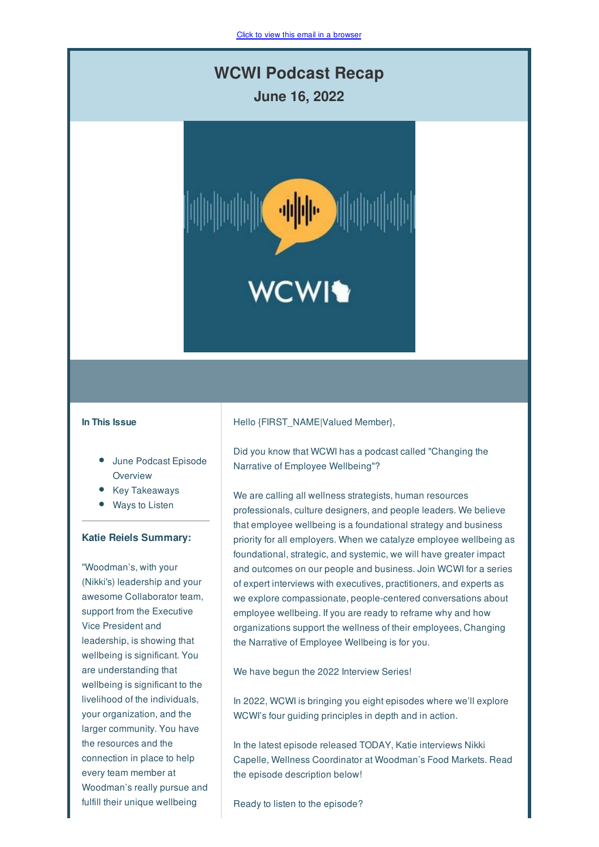# **WCWI Podcast Recap**

**June 16, 2022**



# **In This Issue**

- June Podcast Episode **Overview**
- Key Takeaways
- Ways to Listen
- **Katie Reiels Summary:**

"Woodman's, with your (Nikki's) leadership and your awesome Collaborator team, support from the Executive Vice President and leadership, is showing that wellbeing is significant. You are understanding that wellbeing is significant to the livelihood of the individuals, your organization, and the larger community. You have the resources and the connection in place to help every team member at Woodman's really pursue and fulfill their unique wellbeing

#### Hello {FIRST\_NAME|Valued Member},

Did you know that WCWI has a podcast called "Changing the Narrative of Employee Wellbeing"?

We are calling all wellness strategists, human resources professionals, culture designers, and people leaders. We believe that employee wellbeing is a foundational strategy and business priority for all employers. When we catalyze employee wellbeing as foundational, strategic, and systemic, we will have greater impact and outcomes on our people and business. Join WCWI for a series of expert interviews with executives, practitioners, and experts as we explore compassionate, people-centered conversations about employee wellbeing. If you are ready to reframe why and how organizations support the wellness of their employees, Changing the Narrative of Employee Wellbeing is for you.

We have begun the 2022 Interview Series!

In 2022, WCWI is bringing you eight episodes where we'll explore WCWI's four guiding principles in depth and in action.

In the latest episode released TODAY, Katie interviews Nikki Capelle, Wellness Coordinator at Woodman's Food Markets. Read the episode description below!

Ready to listen to the episode?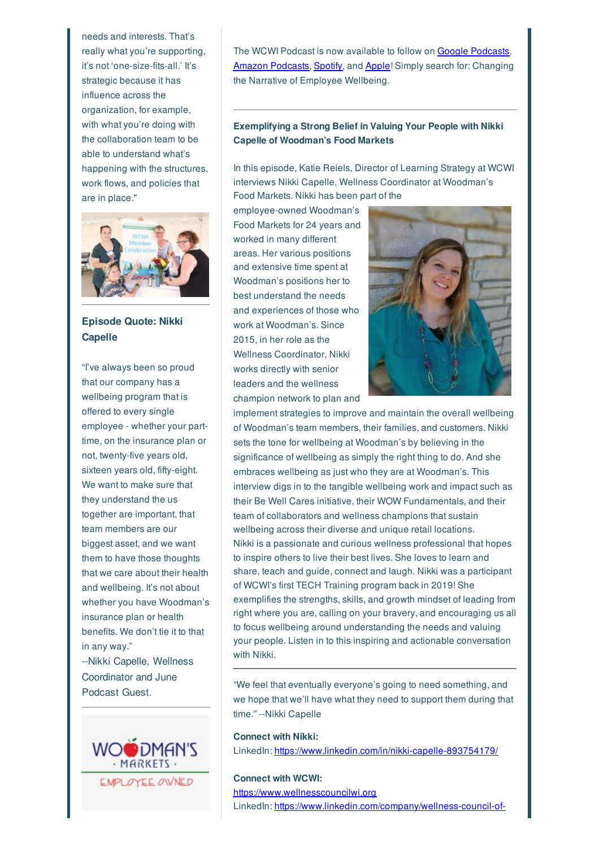needs and interests. That's really what you're supporting, it's not 'one-size-fits-all.' It's strategic because it has influence across the organization, for example, with what you're doing with the collaboration team to be able to understand what's happening with the structures, work flows, and policies that are in place."



**Episode Quote: Nikki Capelle**

"I've always been so proud that our company has a wellbeing program that is offered to every single employee - whether your parttime, on the insurance plan or not, twenty-five years old, sixteen years old, fifty-eight. We want to make sure that they understand the us together are important, that team members are our biggest asset, and we want them to have those thoughts that we care about their health and wellbeing. It's not about whether you have Woodman's insurance plan or health benefits. We don't tie it to that in any way." --Nikki Capelle, Wellness

Coordinator and June Podcast Guest.



The WCWI Podcast is now available to follow on Google Podcasts. Amazon Podcasts, Spotify, and Apple! Simply search for: Changing the Narrative of Employee Wellbeing.

# **Exemplifying a Strong Belief in Valuing Your People with Nikki Capelle of Woodman's Food Markets**

In this episode, Katie Reiels, Director of Learning Strategy at WCWI interviews Nikki Capelle, Wellness Coordinator at Woodman's Food Markets. Nikki has been part of the

employee-owned Woodman's Food Markets for 24 years and worked in many different areas. Her various positions and extensive time spent at Woodman's positions her to best understand the needs and experiences of those who work at Woodman's. Since 2015, in her role as the Wellness Coordinator, Nikki works directly with senior leaders and the wellness champion network to plan and



implement strategies to improve and maintain the overall wellbeing of Woodman's team members, their families, and customers. Nikki sets the tone for wellbeing at Woodman's by believing in the significance of wellbeing as simply the right thing to do. And she embraces wellbeing as just who they are at Woodman's. This interview digs in to the tangible wellbeing work and impact such as their Be Well Cares initiative, their WOW Fundamentals, and their team of collaborators and wellness champions that sustain wellbeing across their diverse and unique retail locations. Nikki is a passionate and curious wellness professional that hopes to inspire others to live their best lives. She loves to learn and share, teach and guide, connect and laugh. Nikki was a participant of WCWI's first TECH Training program back in 2019! She exemplifies the strengths, skills, and growth mindset of leading from right where you are, calling on your bravery, and encouraging us all to focus wellbeing around understanding the needs and valuing your people. Listen in to this inspiring and actionable conversation with Nikki.

"We feel that eventually everyone's going to need something, and we hope that we'll have what they need to support them during that time." --Nikki Capelle

### **Connect with Nikki:**

LinkedIn: https://www.linkedin.com/in/nikki-capelle-893754179/

# **Connect with WCWI:**

https://www.wellnesscouncilwi.org LinkedIn: https://www.linkedin.com/company/wellness-council-of